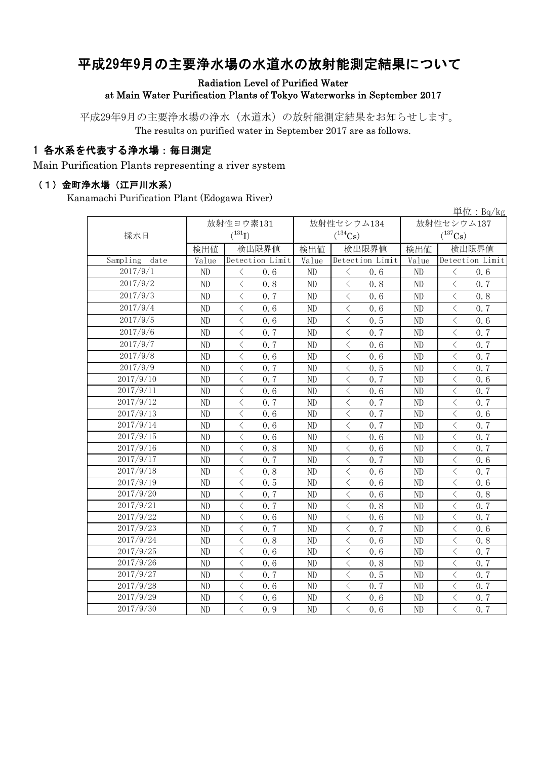# 平成29年9月の主要浄水場の水道水の放射能測定結果について

Radiation Level of Purified Water at Main Water Purification Plants of Tokyo Waterworks in September 2017

平成29年9月の主要浄水場の浄水(水道水)の放射能測定結果をお知らせします。 The results on purified water in September 2017 are as follows.

#### 1 各水系を代表する浄水場:毎日測定

Main Purification Plants representing a river system

#### (1)金町浄水場(江戸川水系)

Kanamachi Purification Plant (Edogawa River)

|                  |                 |                                                 |                 |                                                              |                 | 単位: $Bq/kg$                                      |  |
|------------------|-----------------|-------------------------------------------------|-----------------|--------------------------------------------------------------|-----------------|--------------------------------------------------|--|
|                  |                 | 放射性ヨウ素131                                       |                 | 放射性セシウム134                                                   | 放射性セシウム137      |                                                  |  |
| 採水日              |                 | $(^{131}I)$                                     |                 | $(^{134}\mathrm{Cs})$                                        |                 | $(^{137}Cs)$                                     |  |
|                  | 検出値             | 検出限界値                                           | 検出値             | 検出限界値                                                        | 検出値             | 検出限界値                                            |  |
| Sampling<br>date | Value           | Detection Limit                                 | Value           | Detection Limit                                              | Value           | Detection Limit                                  |  |
| 2017/9/1         | ND              | $\langle$<br>0.6                                | ND              | $\langle$<br>0.6                                             | ND              | $\langle$<br>0.6                                 |  |
| 2017/9/2         | $\rm ND$        | $\overline{\left\langle \right\rangle }$<br>0.8 | ND              | $\overline{\left\langle \right\rangle }$<br>0.8              | ND              | $\langle$<br>0.7                                 |  |
| 2017/9/3         | ND              | $\lt$<br>0.7                                    | ND              | $\langle$<br>0.6                                             | ND              | $\lt$<br>0.8                                     |  |
| 2017/9/4         | ND              | $\langle$<br>0.6                                | ND              | $\,$ $\,$ $\,$<br>0.6                                        | ND              | 0.7<br>$\langle$                                 |  |
| 2017/9/5         | ND              | $\lt$<br>0.6                                    | ND              | $\,$ $\,$ $\,$<br>0.5                                        | ND              | $\overline{\left\langle \right\rangle }$<br>0.6  |  |
| 2017/9/6         | ND              | $\overline{\left\langle \right\rangle }$<br>0.7 | ND              | $\,$ $\,$ $\,$<br>0.7                                        | ND              | $\langle$<br>0.7                                 |  |
| 2017/9/7         | ND              | $\overline{\left\langle \right\rangle }$<br>0.7 | ND              | $\, < \,$<br>0.6                                             | ND              | $\langle$<br>0.7                                 |  |
| 2017/9/8         | $\rm ND$        | $\langle$<br>0.6                                | ND              | $\langle$<br>0.6                                             | ND              | 0, 7<br>$\langle$                                |  |
| 2017/9/9         | $\rm ND$        | $\langle$<br>0.7                                | ND              | $\,$ $\,$ $\,$<br>0.5                                        | ND              | $\overline{\left\langle \right\rangle }$<br>0.7  |  |
| 2017/9/10        | ND              | 0.7<br>$\lt$                                    | ND              | 0, 7<br>$\langle$                                            | ND              | $\langle$<br>0.6                                 |  |
| 2017/9/11        | ND              | $\overline{\left\langle \right\rangle }$<br>0.6 | ND              | $\overline{\left\langle \right\rangle }$<br>0.6              | ND              | $\overline{\left\langle \right\rangle }$<br>0, 7 |  |
| 2017/9/12        | ND              | $\langle$<br>0.7                                | ND              | $\lt$<br>0, 7                                                | ND              | $\overline{\left\langle \right\rangle }$<br>0, 7 |  |
| 2017/9/13        | ND              | $\overline{\langle}$<br>0.6                     | ND              | $\overline{\left\langle \right\rangle }$<br>0.7              | ND              | $\overline{\langle}$<br>0.6                      |  |
| 2017/9/14        | ND              | $\lt$<br>0.6                                    | ND              | $\, <\,$<br>0.7                                              | ND              | $\langle$<br>0.7                                 |  |
| 2017/9/15        | ND              | $\langle$<br>0.6                                | ND              | $\, <\,$<br>0.6                                              | ND              | $\lt$<br>0.7                                     |  |
| 2017/9/16        | ND              | $\langle$<br>0.8                                | ND              | $\,<\,$<br>0.6                                               | ND              | $\lt$<br>0.7                                     |  |
| 2017/9/17        | ND              | $\lt$<br>0.7                                    | ND              | 0.7<br>$\,<\,$                                               | ND              | $\lt$<br>0.6                                     |  |
| 2017/9/18        | ND              | $\lt$<br>0.8                                    | ND              | $\,<\,$<br>0.6                                               | ND              | $\langle$<br>0.7                                 |  |
| 2017/9/19        | ND              | $\langle$<br>0.5                                | ND              | $\langle$<br>0.6                                             | ND              | $\langle$<br>0.6                                 |  |
| 2017/9/20        | ND              | $\overline{\left\langle \right\rangle }$<br>0.7 | ND              | $\overline{\left\langle \right\rangle }$<br>0.6              | ND              | $\langle$<br>0.8                                 |  |
| 2017/9/21        | ND              | $\overline{\left\langle \right\rangle }$<br>0.7 | ND              | $\,$ $\,$ $\,$<br>0.8                                        | ND              | $\langle$<br>0.7                                 |  |
| 2017/9/22        | ND              | $\langle$<br>0.6                                | ND              | $\,$ $\,$ $\,$<br>0.6                                        | ND              | $\langle$<br>0.7                                 |  |
| 2017/9/23        | ND              | $\langle$<br>0.7                                | ND              | $\langle$<br>0.7                                             | ND              | $\langle$<br>0.6                                 |  |
| 2017/9/24        | $\rm ND$        | $\overline{\left\langle \right\rangle }$<br>0.8 | ND              | $\,$ $\,$ $\,$<br>0.6                                        | ND              | $\langle$<br>0.8                                 |  |
| 2017/9/25        | $\rm ND$        | $\langle$<br>0.6                                | ND              | $\,<\,$<br>0.6                                               | ND              | $\langle$<br>0, 7                                |  |
| 2017/9/26        | $\rm ND$        | $\langle$<br>0.6                                | ND              | $\,$ $\,$ $\,$<br>0.8                                        | ND              | $\overline{\left\langle \right\rangle }$<br>0.7  |  |
| 2017/9/27        | ND              | 0.7<br>$\lt$                                    | ND              | $\,<\,$<br>0.5                                               | ND              | $\langle$<br>0.7                                 |  |
| 2017/9/28        | ND              | $\overline{\left\langle \right\rangle }$<br>0.6 | ND              | $\,$ $\,$ $\,$<br>0.7                                        | ND              | $\langle$<br>0.7                                 |  |
| 2017/9/29        | ND              | $\lt$<br>0.6                                    | ND              | $\,$ $\,$ $\,$<br>0.6                                        | ND              | $\overline{\left\langle \right\rangle }$<br>0.7  |  |
| 2017/9/30        | $\overline{ND}$ | $\overline{\langle}$<br>0.9                     | $\overline{ND}$ | $\overline{\left\langle \right\rangle }$<br>$\overline{0.6}$ | $\overline{ND}$ | $\overline{\langle}$<br>0, 7                     |  |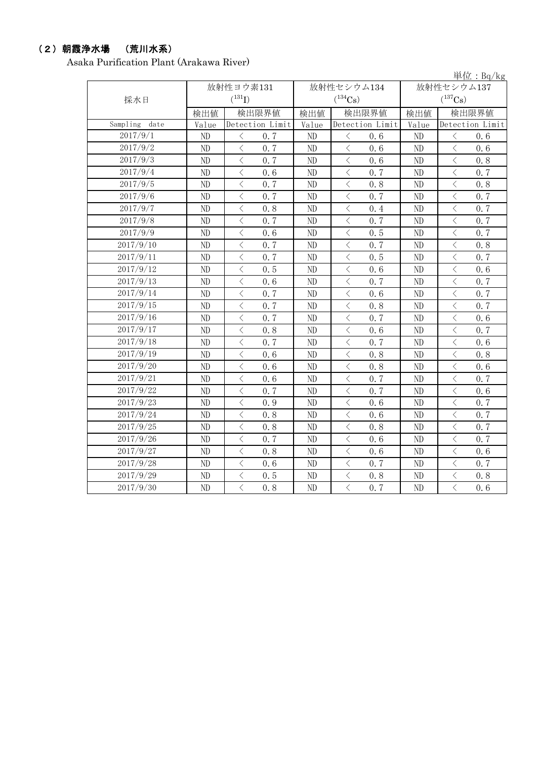### (2)朝霞浄水場 (荒川水系)

Asaka Purification Plant (Arakawa River)

|                  |       |                                          |                 |            |                                          |                 |            |                                                                                                                                                                                                                                                                                                                                                                                                                                                                                                                                                                                                                                                                                    | 単位: Bq/kg       |
|------------------|-------|------------------------------------------|-----------------|------------|------------------------------------------|-----------------|------------|------------------------------------------------------------------------------------------------------------------------------------------------------------------------------------------------------------------------------------------------------------------------------------------------------------------------------------------------------------------------------------------------------------------------------------------------------------------------------------------------------------------------------------------------------------------------------------------------------------------------------------------------------------------------------------|-----------------|
|                  |       | 放射性ヨウ素131                                |                 | 放射性セシウム134 |                                          |                 | 放射性セシウム137 |                                                                                                                                                                                                                                                                                                                                                                                                                                                                                                                                                                                                                                                                                    |                 |
| 採水日              |       | $(^{131}I)$                              |                 |            | $(^{134}\mathrm{Cs})$                    |                 |            | $(^{137}Cs)$                                                                                                                                                                                                                                                                                                                                                                                                                                                                                                                                                                                                                                                                       |                 |
|                  | 検出値   | 検出限界値                                    |                 | 検出値        | 検出限界値                                    |                 | 検出値        | 検出限界値                                                                                                                                                                                                                                                                                                                                                                                                                                                                                                                                                                                                                                                                              |                 |
| Sampling<br>date | Value |                                          | Detection Limit | Value      |                                          | Detection Limit | Value      |                                                                                                                                                                                                                                                                                                                                                                                                                                                                                                                                                                                                                                                                                    | Detection Limit |
| 2017/9/1         | ND    | $\lt$                                    | 0.7             | ND         | $\lt$                                    | 0.6             | ND         | $\lt$                                                                                                                                                                                                                                                                                                                                                                                                                                                                                                                                                                                                                                                                              | 0.6             |
| 2017/9/2         | ND    | $\overline{\left\langle \right\rangle }$ | 0.7             | ND         | $\langle$                                | 0.6             | ND         | $\overline{\left\langle \right. }% ,\left\langle \overline{\left\langle \right. }\right\rangle _{0}\right\langle \left. \overline{\left\langle \right. }\right\rangle _{0}\left\langle \overline{\left\langle \right. }\right\rangle _{0}\left\langle \overline{\left\langle \right. }\right\rangle _{0}\left\langle \overline{\left\langle \right. }\right\rangle _{0}\left\langle \overline{\left\langle \right. }\right\rangle _{0}\left\langle \overline{\left\langle \right. }\right\rangle _{0}\left\langle \overline{\left\langle \right. }\right\rangle _{0}\left\langle \overline{\left\langle \right. }\right\rangle _{0}\left\langle \overline{\left\langle \right. }\$ | 0.6             |
| 2017/9/3         | ND    | $\,$ $\,$ $\,$                           | 0.7             | ND         | $\lt$                                    | 0.6             | ND         | $\lt$                                                                                                                                                                                                                                                                                                                                                                                                                                                                                                                                                                                                                                                                              | 0.8             |
| 2017/9/4         | ND    | $\langle$                                | 0.6             | ND         | $\,$ $\,$ $\,$                           | 0.7             | ND         | $\langle$                                                                                                                                                                                                                                                                                                                                                                                                                                                                                                                                                                                                                                                                          | 0.7             |
| 2017/9/5         | ND    | $\lt$                                    | 0.7             | ND         | $\,$ $\,$ $\,$                           | 0.8             | ND         | $\langle$                                                                                                                                                                                                                                                                                                                                                                                                                                                                                                                                                                                                                                                                          | 0.8             |
| 2017/9/6         | ND    | $\overline{\left\langle \right\rangle }$ | 0.7             | ND         | $\overline{\left\langle \right\rangle }$ | 0.7             | ND         | $\overline{\left\langle \right\rangle }$                                                                                                                                                                                                                                                                                                                                                                                                                                                                                                                                                                                                                                           | 0.7             |
| 2017/9/7         | ND    | $\,$ $\,$ $\,$                           | 0.8             | ND         | $\,$ $\,$ $\,$                           | 0.4             | ND         | $\overline{\left\langle \right\rangle }$                                                                                                                                                                                                                                                                                                                                                                                                                                                                                                                                                                                                                                           | 0.7             |
| 2017/9/8         | ND    | $\,$ $\,$ $\,$                           | 0.7             | ND         | $\,$ $\,$ $\,$                           | 0.7             | ND         | $\langle$                                                                                                                                                                                                                                                                                                                                                                                                                                                                                                                                                                                                                                                                          | 0.7             |
| 2017/9/9         | ND    | $\overline{\left\langle \right\rangle }$ | 0.6             | ND         | $\langle$                                | 0.5             | ND         | $\langle$                                                                                                                                                                                                                                                                                                                                                                                                                                                                                                                                                                                                                                                                          | 0.7             |
| 2017/9/10        | ND    | $\lt$                                    | 0.7             | ND         | $\lt$                                    | 0.7             | ND         | $\lt$                                                                                                                                                                                                                                                                                                                                                                                                                                                                                                                                                                                                                                                                              | 0.8             |
| 2017/9/11        | ND    | $\lt$                                    | 0.7             | ND         | $\lt$                                    | 0.5             | ND         | $\lt$                                                                                                                                                                                                                                                                                                                                                                                                                                                                                                                                                                                                                                                                              | 0.7             |
| 2017/9/12        | ND    | $\lt$                                    | 0.5             | ND         | $\,<\,$                                  | 0.6             | ND         | $\langle$                                                                                                                                                                                                                                                                                                                                                                                                                                                                                                                                                                                                                                                                          | 0.6             |
| 2017/9/13        | ND    | $\overline{\left\langle \right\rangle }$ | 0, 6            | ND         | $\lt$                                    | 0, 7            | ND         | $\langle$                                                                                                                                                                                                                                                                                                                                                                                                                                                                                                                                                                                                                                                                          | 0.7             |
| 2017/9/14        | ND    | $\overline{\left\langle \right\rangle }$ | 0.7             | ND         | $\lt$                                    | 0.6             | ND         | $\langle$                                                                                                                                                                                                                                                                                                                                                                                                                                                                                                                                                                                                                                                                          | 0.7             |
| 2017/9/15        | ND    | $\overline{\left\langle \right\rangle }$ | 0.7             | ND         | $\,$ $\,$ $\,$                           | 0.8             | ND         | $\langle$                                                                                                                                                                                                                                                                                                                                                                                                                                                                                                                                                                                                                                                                          | 0.7             |
| 2017/9/16        | ND    | $\overline{\left\langle \right\rangle }$ | 0, 7            | ND         | $\,<\,$                                  | 0.7             | ND         | $\langle$                                                                                                                                                                                                                                                                                                                                                                                                                                                                                                                                                                                                                                                                          | 0, 6            |
| 2017/9/17        | ND    | $\lt$                                    | 0.8             | ND         | $\, < \,$                                | 0.6             | ND         | $\lt$                                                                                                                                                                                                                                                                                                                                                                                                                                                                                                                                                                                                                                                                              | 0.7             |
| 2017/9/18        | ND    | $\, < \,$                                | 0.7             | ND         | $\langle$                                | 0.7             | ND         | $\, <\,$                                                                                                                                                                                                                                                                                                                                                                                                                                                                                                                                                                                                                                                                           | 0.6             |
| 2017/9/19        | ND    | $\langle$                                | 0.6             | ND         | $\lt$                                    | 0.8             | ND         | $\langle$                                                                                                                                                                                                                                                                                                                                                                                                                                                                                                                                                                                                                                                                          | 0.8             |
| 2017/9/20        | ND    | $\,$ $\,$ $\,$                           | 0.6             | ND         | $\,<\,$                                  | 0.8             | ND         | $\lt$                                                                                                                                                                                                                                                                                                                                                                                                                                                                                                                                                                                                                                                                              | 0.6             |
| 2017/9/21        | ND    | $\,$ $\,$ $\,$                           | 0.6             | ND         | $\,$ $\,$ $\,$                           | 0.7             | ND         | $\langle$                                                                                                                                                                                                                                                                                                                                                                                                                                                                                                                                                                                                                                                                          | 0.7             |
| 2017/9/22        | ND    | $\,$ $\,$ $\,$                           | 0.7             | ND         | $\,$ $\,$ $\,$                           | 0.7             | ND         | $\langle$                                                                                                                                                                                                                                                                                                                                                                                                                                                                                                                                                                                                                                                                          | 0.6             |
| 2017/9/23        | ND    | $\langle$                                | 0.9             | ND         | $\langle$                                | 0.6             | ND         | $\langle$                                                                                                                                                                                                                                                                                                                                                                                                                                                                                                                                                                                                                                                                          | 0.7             |
| 2017/9/24        | ND    | $\overline{\left\langle \right\rangle }$ | 0.8             | ND         | $\lt$                                    | 0.6             | ND         | $\,$ $\,$ $\,$                                                                                                                                                                                                                                                                                                                                                                                                                                                                                                                                                                                                                                                                     | 0.7             |
| 2017/9/25        | ND    | $\lt$                                    | 0.8             | ND         | $\lt$                                    | 0.8             | ND         | $\langle$                                                                                                                                                                                                                                                                                                                                                                                                                                                                                                                                                                                                                                                                          | 0.7             |
| 2017/9/26        | ND    | $\lt$                                    | 0.7             | ND         | $\lt$                                    | 0.6             | ND         | $\lt$                                                                                                                                                                                                                                                                                                                                                                                                                                                                                                                                                                                                                                                                              | 0, 7            |
| 2017/9/27        | ND    | $\lt$                                    | 0.8             | ND         | $\lt$                                    | 0.6             | ND         | $\lt$                                                                                                                                                                                                                                                                                                                                                                                                                                                                                                                                                                                                                                                                              | 0.6             |
| 2017/9/28        | ND    | $\overline{\left\langle \right\rangle }$ | 0.6             | ND         | $\overline{\left\langle \right\rangle }$ | 0.7             | ND         | $\overline{\left\langle \right\rangle }$                                                                                                                                                                                                                                                                                                                                                                                                                                                                                                                                                                                                                                           | 0.7             |
| 2017/9/29        | ND    | $\langle$                                | 0.5             | ND         | $\bigl\langle$                           | 0.8             | ND         | $\, \zeta \,$                                                                                                                                                                                                                                                                                                                                                                                                                                                                                                                                                                                                                                                                      | 0.8             |
| 2017/9/30        | ND    | $\overline{\langle}$                     | 0.8             | ND         | $\overline{\langle}$                     | 0, 7            | ND         | $\overline{\langle}$                                                                                                                                                                                                                                                                                                                                                                                                                                                                                                                                                                                                                                                               | 0.6             |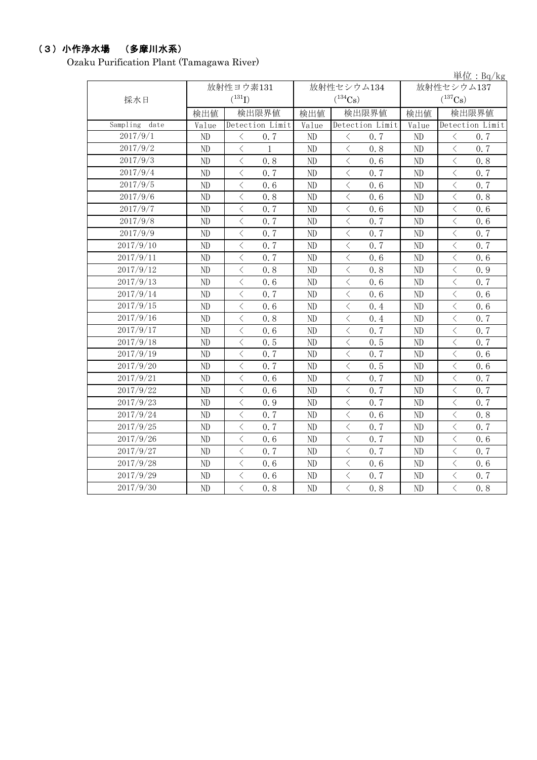# (3)小作浄水場 (多摩川水系)

Ozaku Purification Plant (Tamagawa River)

|                  |                                      |                                                 |          |                                                                                                                                                                      |            | 里 $\overline{w}$ : Bq/kg                         |  |
|------------------|--------------------------------------|-------------------------------------------------|----------|----------------------------------------------------------------------------------------------------------------------------------------------------------------------|------------|--------------------------------------------------|--|
|                  |                                      | 放射性ヨウ素131                                       |          | 放射性セシウム134                                                                                                                                                           | 放射性セシウム137 |                                                  |  |
| 採水日              | $(^{131}I)$<br>$(^{134}\mathrm{Cs})$ |                                                 |          |                                                                                                                                                                      |            | $(^{137}\mathrm{Cs})$                            |  |
|                  | 検出値                                  | 検出限界値                                           | 検出値      | 検出限界値                                                                                                                                                                | 検出値        | 検出限界値                                            |  |
| Sampling<br>date | Value                                | Detection Limit                                 | Value    | Detection Limit                                                                                                                                                      | Value      | Detection Limit                                  |  |
| 2017/9/1         | ND                                   | $\,<\,$<br>0.7                                  | $\rm ND$ | $\, <\,$<br>0.7                                                                                                                                                      | ND         | $\lt$<br>0.7                                     |  |
| 2017/9/2         | $\rm ND$                             | $\lt$<br>1                                      | $\rm ND$ | $\langle$<br>0.8                                                                                                                                                     | $\rm ND$   | $\overline{\left\langle \right\rangle }$<br>0.7  |  |
| 2017/9/3         | $\rm ND$                             | $\langle$<br>0.8                                | ND       | $\,$ $\,$ $\,$<br>0.6                                                                                                                                                | ND         | $\langle$<br>0.8                                 |  |
| 2017/9/4         | ND                                   | $\langle$<br>0.7                                | $\rm ND$ | $\lt$<br>0.7                                                                                                                                                         | ND         | $\langle$<br>0.7                                 |  |
| 2017/9/5         | $\rm ND$                             | $\overline{\left\langle \right\rangle }$<br>0.6 | ND       | $\overline{\left\langle \right\rangle }$<br>0.6                                                                                                                      | ND         | $\overline{\left\langle \right\rangle }$<br>0.7  |  |
| 2017/9/6         | $\rm ND$                             | $\langle$<br>0.8                                | ND       | $\langle$<br>0.6                                                                                                                                                     | ND         | $\langle$<br>0.8                                 |  |
| 2017/9/7         | ND                                   | $\langle$<br>0.7                                | ND       | $\lt$<br>0.6                                                                                                                                                         | ND         | $\lt$<br>0.6                                     |  |
| 2017/9/8         | $\rm ND$                             | $\lt$<br>0.7                                    | ND       | $\, \big\langle \,$<br>0.7                                                                                                                                           | ND         | $\langle$<br>0.6                                 |  |
| 2017/9/9         | $\rm ND$                             | $\lt$<br>0.7                                    | ND       | $\lt$<br>0.7                                                                                                                                                         | ND         | $\lt$<br>0.7                                     |  |
| 2017/9/10        | $\rm ND$                             | $\langle$<br>0.7                                | ND       | $\langle$<br>0.7                                                                                                                                                     | ND         | $\langle$<br>0.7                                 |  |
| 2017/9/11        | $\rm ND$                             | $\overline{\left\langle \right\rangle }$<br>0.7 | ND       | $\overline{\left\langle \right\rangle }$<br>0.6                                                                                                                      | ND         | $\overline{\left\langle \right\rangle }$<br>0.6  |  |
| 2017/9/12        | $\rm ND$                             | $\langle$<br>0.8                                | ND       | $\overline{\left\langle \right\rangle }$<br>0.8                                                                                                                      | ND         | $\overline{\left\langle \right\rangle }$<br>0.9  |  |
| 2017/9/13        | ND                                   | $\lt$<br>0.6                                    | ND       | $\lt$<br>0.6                                                                                                                                                         | ND         | $\langle$<br>0.7                                 |  |
| 2017/9/14        | ND                                   | $\langle$<br>0, 7                               | ND       | $\lt$<br>0.6                                                                                                                                                         | ND         | $\langle$<br>0.6                                 |  |
| 2017/9/15        | ND                                   | $\langle$<br>0.6                                | $\rm ND$ | $\lt$<br>0.4                                                                                                                                                         | $\rm ND$   | $\langle$<br>0.6                                 |  |
| 2017/9/16        | ND                                   | $\lt$<br>0.8                                    | ND       | $\lt$<br>0.4                                                                                                                                                         | ND         | $\lt$<br>0.7                                     |  |
| 2017/9/17        | $\rm ND$                             | $\langle$<br>0.6                                | ND       | $\overline{\left\langle \right\rangle }$<br>0.7                                                                                                                      | ND         | $\overline{\left\langle \right\rangle }$<br>0.7  |  |
| 2017/9/18        | $\rm ND$                             | $\lt$<br>0.5                                    | ND       | $\lt$<br>0.5                                                                                                                                                         | ND         | $\langle$<br>0.7                                 |  |
| 2017/9/19        | $\rm ND$                             | $\overline{\left\langle \right\rangle }$<br>0.7 | ND       | $\overline{\left\langle \right\rangle }$<br>0.7                                                                                                                      | ND         | $\langle$<br>0.6                                 |  |
| 2017/9/20        | $\rm ND$                             | $\lt$<br>0.7                                    | ND       | $\overline{\left\langle \right. }% ,\left\langle \overline{\left\langle \right. }% ,\left\langle \overline{\left\langle \right\rangle }\right\rangle \right.$<br>0.5 | ND         | $\langle$<br>0.6                                 |  |
| 2017/9/21        | $\rm ND$                             | $\langle$<br>0.6                                | ND       | $\lt$<br>0, 7                                                                                                                                                        | ND         | $\lt$<br>0, 7                                    |  |
| 2017/9/22        | ND                                   | $\langle$<br>0.6                                | ND       | $\langle$<br>0.7                                                                                                                                                     | ND         | $\langle$<br>0.7                                 |  |
| 2017/9/23        | $\rm ND$                             | $\overline{\left\langle \right\rangle }$<br>0.9 | ND       | $\overline{\left\langle \right\rangle }$<br>0, 7                                                                                                                     | ND         | $\overline{\left\langle \right\rangle }$<br>0, 7 |  |
| 2017/9/24        | $\rm ND$                             | $\langle$<br>0.7                                | ND       | $\langle$<br>0.6                                                                                                                                                     | ND         | $\langle$<br>0.8                                 |  |
| 2017/9/25        | $\rm ND$                             | $\overline{\left\langle \right\rangle }$<br>0.7 | ND       | $\overline{\left\langle \right\rangle }$<br>0.7                                                                                                                      | ND         | $\langle$<br>0.7                                 |  |
| 2017/9/26        | $\rm ND$                             | $\lt$<br>0.6                                    | ND       | $\langle$<br>0.7                                                                                                                                                     | ND         | $\langle$<br>0.6                                 |  |
| 2017/9/27        | $\rm ND$                             | $\langle$<br>0.7                                | ND       | $\lt$<br>0.7                                                                                                                                                         | ND         | $\langle$<br>0.7                                 |  |
| 2017/9/28        | ND                                   | $\langle$<br>0.6                                | $\rm ND$ | $\langle$<br>0.6                                                                                                                                                     | ND         | $\langle$<br>0.6                                 |  |
| 2017/9/29        | $\rm ND$                             | $\overline{\left\langle \right\rangle }$<br>0.6 | ND       | $\overline{\left\langle \right\rangle }$<br>0.7                                                                                                                      | ND         | $\overline{\left\langle \right\rangle }$<br>0.7  |  |
| 2017/9/30        | ND                                   | $\langle$<br>0.8                                | ND       | $\langle$<br>0.8                                                                                                                                                     | ND         | $\overline{\left\langle \right\rangle }$<br>0.8  |  |

道位: $B_0/b$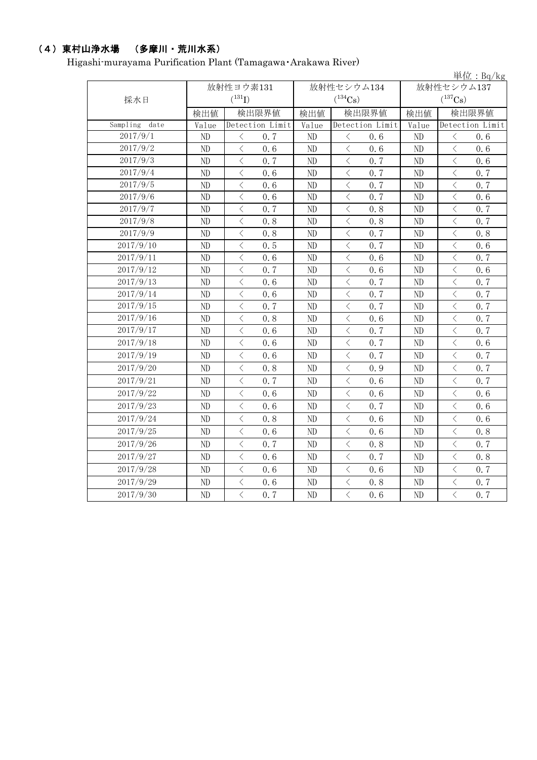# (4)東村山浄水場 (多摩川・荒川水系)

Higashi-murayama Purification Plant (Tamagawa・Arakawa River)

|                  |          |                                          |                 |       |                |                 |                       | 単位: Bq/kg                                |                 |  |  |
|------------------|----------|------------------------------------------|-----------------|-------|----------------|-----------------|-----------------------|------------------------------------------|-----------------|--|--|
|                  |          | 放射性ヨウ素131                                |                 |       | 放射性セシウム134     |                 | 放射性セシウム137            |                                          |                 |  |  |
| 採水日              |          | $(^{131}I)$                              |                 |       | $(^{134}Cs)$   |                 | $(^{137}\mathrm{Cs})$ |                                          |                 |  |  |
|                  | 検出値      | 検出限界値                                    |                 | 検出値   | 検出限界値          |                 | 検出値                   | 検出限界値                                    |                 |  |  |
| Sampling<br>date | Value    |                                          | Detection Limit | Value |                | Detection Limit | Value                 |                                          | Detection Limit |  |  |
| 2017/9/1         | ND       | $\langle$                                | 0.7             | ND    | $\langle$      | 0, 6            | ND                    | $\langle$                                | 0, 6            |  |  |
| 2017/9/2         | ND       | $\langle$                                | 0.6             | ND    | $\,$ $\,$ $\,$ | 0.6             | ND                    | $\langle$                                | 0.6             |  |  |
| 2017/9/3         | ND       | $\lt$                                    | 0.7             | ND    | $\lt$          | 0.7             | ND                    | $\lt$                                    | 0.6             |  |  |
| 2017/9/4         | ND       | $\lt$                                    | 0, 6            | ND    | $\, <\,$       | 0.7             | ND                    | $\lt$                                    | 0.7             |  |  |
| 2017/9/5         | ND       | $\, \zeta \,$                            | 0.6             | ND    | $\lt$          | 0.7             | ND                    | $\lt$                                    | 0.7             |  |  |
| 2017/9/6         | ND       | $\langle$                                | 0.6             | ND    | $\,$ $\,$ $\,$ | 0.7             | ND                    | $\langle$                                | 0.6             |  |  |
| 2017/9/7         | ND       | $\lt$                                    | 0.7             | ND    | $\langle$      | 0, 8            | ND                    | $\langle$                                | 0.7             |  |  |
| 2017/9/8         | ND       | $\overline{\left\langle \right\rangle }$ | 0.8             | ND    | $\lt$          | 0, 8            | ND                    | $\overline{\left\langle \right\rangle }$ | 0, 7            |  |  |
| 2017/9/9         | ND       | $\langle$                                | 0.8             | ND    | $\,$ $\,$ $\,$ | 0.7             | ND                    | $\overline{\left\langle \right\rangle }$ | 0.8             |  |  |
| 2017/9/10        | ND       | $\lt$                                    | 0.5             | ND    | $\,<\,$        | 0.7             | ND                    | $\langle$                                | 0.6             |  |  |
| 2017/9/11        | ND       | $\langle$                                | 0.6             | ND    | $\langle$      | 0, 6            | ND                    | $\langle$                                | 0.7             |  |  |
| 2017/9/12        | ND       | $\langle$                                | 0.7             | ND    | $\,$ $\,$ $\,$ | 0.6             | ND                    | $\lt$                                    | 0.6             |  |  |
| 2017/9/13        | ND       | $\lt$                                    | 0.6             | ND    | $\,<\,$        | 0, 7            | ND                    | $\lt$                                    | 0.7             |  |  |
| 2017/9/14        | ND       | $\langle$                                | 0.6             | ND    | $\lt$          | 0.7             | ND                    | $\lt$                                    | 0.7             |  |  |
| 2017/9/15        | ND       | $\langle$                                | 0.7             | ND    | $\langle$      | 0.7             | ND                    | $\lt$                                    | 0.7             |  |  |
| 2017/9/16        | ND       | $\lt$                                    | 0.8             | ND    | $\langle$      | 0.6             | ND                    | $\lt$                                    | 0.7             |  |  |
| 2017/9/17        | ND       | $\langle$                                | 0.6             | ND    | $\langle$      | 0.7             | ND                    | $\langle$                                | 0.7             |  |  |
| 2017/9/18        | ND       | $\langle$                                | 0.6             | ND    | $\lt$          | 0.7             | ND                    | $\langle$                                | 0, 6            |  |  |
| 2017/9/19        | ND       | $\langle$                                | 0.6             | ND    | $\,$ $\,$ $\,$ | 0.7             | ND                    | $\langle$                                | 0.7             |  |  |
| 2017/9/20        | ND       | $\langle$                                | 0.8             | ND    | $\,$ $\,$ $\,$ | 0.9             | ND                    | $\langle$                                | 0.7             |  |  |
| 2017/9/21        | ND       | $\lt$                                    | 0.7             | ND    | $\, < \,$      | 0.6             | ND                    | $\langle$                                | 0.7             |  |  |
| 2017/9/22        | ND       | $\lt$                                    | 0.6             | ND    | $\langle$      | 0.6             | ND                    | $\langle$                                | 0.6             |  |  |
| 2017/9/23        | ND       | $\langle$                                | 0.6             | ND    | $\langle$      | 0, 7            | ND                    | $\langle$                                | 0, 6            |  |  |
| 2017/9/24        | ND       | $\langle$                                | 0.8             | ND    | $\,$ $\,$ $\,$ | 0.6             | ND                    | $\langle$                                | 0.6             |  |  |
| 2017/9/25        | ND       | $\langle$                                | 0.6             | ND    | $\langle$      | 0.6             | ND                    | $\langle$                                | 0.8             |  |  |
| 2017/9/26        | ND       | $\lt$                                    | 0.7             | ND    | $\,<\,$        | 0.8             | ND                    | $\langle$                                | 0.7             |  |  |
| 2017/9/27        | ND       | $\, < \,$                                | 0.6             | ND    | $\lt$          | 0.7             | ND                    | $\lt$                                    | 0.8             |  |  |
| 2017/9/28        | $\rm ND$ | $\langle$                                | 0.6             | ND    | $\langle$      | 0.6             | ND                    | $\langle$                                | 0.7             |  |  |
| 2017/9/29        | ND       | $\lt$                                    | 0.6             | ND    | $\, < \,$      | 0.8             | ND                    | $\langle$                                | 0.7             |  |  |
| 2017/9/30        | ND       | $\overline{\left\langle \right\rangle }$ | 0.7             | ND    | $\langle$      | 0, 6            | ND                    | $\overline{\left\langle \right\rangle }$ | 0.7             |  |  |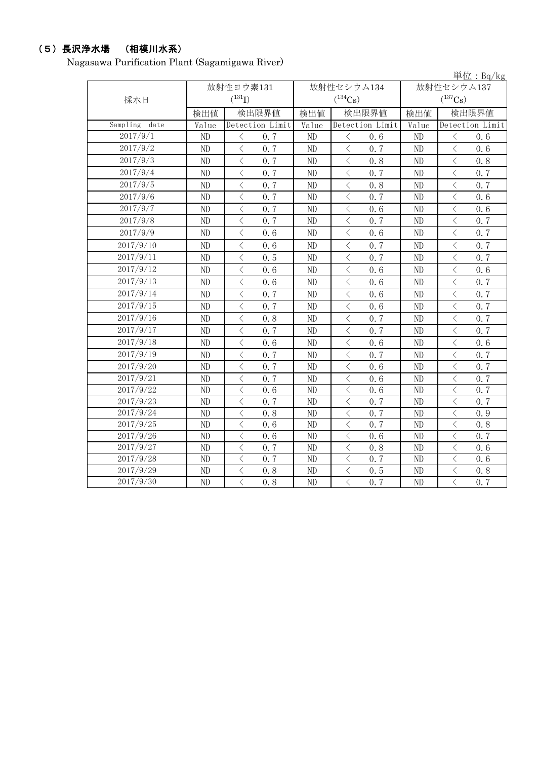# (5)長沢浄水場 (相模川水系)

Nagasawa Purification Plant (Sagamigawa River)

|                  |          |                                                 |       |                                                 |              | 単位: $Bq/kg$                                                                                                                                                          |  |
|------------------|----------|-------------------------------------------------|-------|-------------------------------------------------|--------------|----------------------------------------------------------------------------------------------------------------------------------------------------------------------|--|
|                  |          | 放射性ヨウ素131                                       |       | 放射性セシウム134                                      |              | 放射性セシウム137                                                                                                                                                           |  |
| 採水日              |          | $(^{131}I)$                                     |       | $(^{134}Cs)$                                    | $(^{137}Cs)$ |                                                                                                                                                                      |  |
|                  | 検出値      | 検出限界値                                           | 検出値   | 検出限界値                                           | 検出値          | 検出限界値                                                                                                                                                                |  |
| Sampling<br>date | Value    | Detection Limit                                 | Value | Detection Limit                                 | Value        | Detection Limit                                                                                                                                                      |  |
| 2017/9/1         | ND       | $\langle$<br>0.7                                | ND    | $\langle$<br>0.6                                | ND           | $\langle$<br>0.6                                                                                                                                                     |  |
| 2017/9/2         | ND       | $\overline{\left\langle \right\rangle }$<br>0.7 | ND    | $\langle$<br>0, 7                               | ND           | $\overline{\left\langle \right\rangle }$<br>0, 6                                                                                                                     |  |
| 2017/9/3         | ND       | $\lt$<br>0, 7                                   | ND    | $\langle$<br>0.8                                | ND           | $\lt$<br>0, 8                                                                                                                                                        |  |
| 2017/9/4         | ND       | $\overline{\left\langle \right\rangle }$<br>0.7 | ND    | $\,$ $\,$ $\,$<br>0.7                           | ND           | $\overline{\left\langle \right\rangle }$<br>0.7                                                                                                                      |  |
| 2017/9/5         | ND       | $\overline{\left\langle \right\rangle }$<br>0.7 | ND    | $\,<\,$<br>0.8                                  | ND           | $\overline{\left\langle \right. }% ,\left\langle \overline{\left\langle \right. }% ,\left\langle \overline{\left\langle \right\rangle }\right\rangle \right.$<br>0.7 |  |
| 2017/9/6         | ND       | $\overline{\left\langle \right\rangle }$<br>0.7 | ND    | $\,$ $\,$ $\,$<br>0.7                           | ND           | $\overline{\left\langle \right\rangle }$<br>0.6                                                                                                                      |  |
| 2017/9/7         | ND       | $\langle$<br>0.7                                | ND    | $\overline{\left\langle \right\rangle }$<br>0.6 | ND           | $\overline{\left\langle \right\rangle }$<br>0.6                                                                                                                      |  |
| 2017/9/8         | ND       | $\langle$<br>0.7                                | ND    | $\langle$<br>0.7                                | ND           | $\overline{\left\langle \right\rangle }$<br>0.7                                                                                                                      |  |
| 2017/9/9         | ND       | $\lt$<br>0.6                                    | ND    | $\,$ $\,$ $\,$<br>0.6                           | ND           | $\langle$<br>0.7                                                                                                                                                     |  |
| 2017/9/10        | ND       | $\langle$<br>0.6                                | ND    | $\langle$<br>0.7                                | ND           | $\langle$<br>0.7                                                                                                                                                     |  |
| 2017/9/11        | $\rm ND$ | $\langle$<br>0.5                                | ND    | $\,$ $\,$ $\,$<br>0.7                           | ND           | $\langle$<br>0, 7                                                                                                                                                    |  |
| 2017/9/12        | ND       | $\overline{\left\langle \right\rangle }$<br>0.6 | ND    | $\,$ $\,$ $\,$<br>0.6                           | ND           | $\overline{\left\langle \right\rangle }$<br>0.6                                                                                                                      |  |
| 2017/9/13        | ND       | $\langle$<br>0.6                                | ND    | $\, <\,$<br>0.6                                 | ND           | $\langle$<br>0.7                                                                                                                                                     |  |
| 2017/9/14        | ND       | $\langle$<br>0.7                                | ND    | $\overline{\left\langle \right\rangle }$<br>0.6 | ND           | $\overline{\left\langle \right\rangle }$<br>0.7                                                                                                                      |  |
| 2017/9/15        | ND       | $\lt$<br>0.7                                    | ND    | $\,<\,$<br>0.6                                  | ND           | $\langle$<br>0.7                                                                                                                                                     |  |
| 2017/9/16        | ND       | $\langle$<br>0.8                                | ND    | $\,$ $\,$ $\,$<br>0.7                           | ND           | $\overline{\left\langle \right\rangle }$<br>0.7                                                                                                                      |  |
| 2017/9/17        | ND       | $\overline{\left\langle \right\rangle }$<br>0.7 | ND    | $\overline{\left\langle \right\rangle }$<br>0.7 | ND           | $\overline{\left\langle \right\rangle }$<br>0, 7                                                                                                                     |  |
| 2017/9/18        | ND       | $\overline{\left\langle \right\rangle }$<br>0.6 | ND    | $\langle$<br>0.6                                | ND           | $\overline{\left\langle \right\rangle }$<br>0.6                                                                                                                      |  |
| 2017/9/19        | ND       | $\langle$<br>0, 7                               | ND    | $\langle$<br>0, 7                               | ND           | $\overline{\left\langle \right\rangle }$<br>0.7                                                                                                                      |  |
| 2017/9/20        | ND       | $\lt$<br>0.7                                    | ND    | $\lt$<br>0.6                                    | ND           | $\langle$<br>0.7                                                                                                                                                     |  |
| 2017/9/21        | ND       | $\lt$<br>0.7                                    | ND    | $\langle$<br>0.6                                | $\rm ND$     | $\lt$<br>0.7                                                                                                                                                         |  |
| 2017/9/22        | ND       | $\lt$<br>0.6                                    | ND    | $\langle$<br>0.6                                | ND           | $\langle$<br>0.7                                                                                                                                                     |  |
| 2017/9/23        | ND       | $\lt$<br>0.7                                    | ND    | $\,<\,$<br>0.7                                  | ND           | $\langle$<br>0.7                                                                                                                                                     |  |
| 2017/9/24        | ND       | $\lt$<br>0.8                                    | ND    | $\,<\,$<br>0.7                                  | ND           | $\langle$<br>0.9                                                                                                                                                     |  |
| 2017/9/25        | ND       | $\overline{\left\langle \right\rangle }$<br>0.6 | ND    | $\,$ $\,$ $\,$<br>0.7                           | ND           | $\overline{\left\langle \right\rangle }$<br>0.8                                                                                                                      |  |
| 2017/9/26        | ND       | $\overline{\left\langle \right\rangle }$<br>0.6 | ND    | $\langle$<br>0.6                                | ND           | $\langle$<br>0.7                                                                                                                                                     |  |
| 2017/9/27        | ND       | $\langle$<br>0.7                                | ND    | $\,$ $\,$ $\,$<br>0.8                           | ND           | $\overline{\left\langle \right\rangle }$<br>0.6                                                                                                                      |  |
| 2017/9/28        | ND       | $\overline{\left\langle \right\rangle }$<br>0.7 | ND    | $\,$ $\,$ $\,$<br>0.7                           | ND           | $\overline{\left\langle \right\rangle }$<br>0.6                                                                                                                      |  |
| 2017/9/29        | ND       | $\langle$<br>0.8                                | ND    | $\,$ $\,$ $\,$<br>0.5                           | ND           | $\overline{\langle}$<br>0.8                                                                                                                                          |  |
| 2017/9/30        | ND       | $\overline{\left\langle \right\rangle }$<br>0.8 | ND    | $\lt$<br>0, 7                                   | ND           | $\overline{\left\langle \right\rangle }$<br>0, 7                                                                                                                     |  |